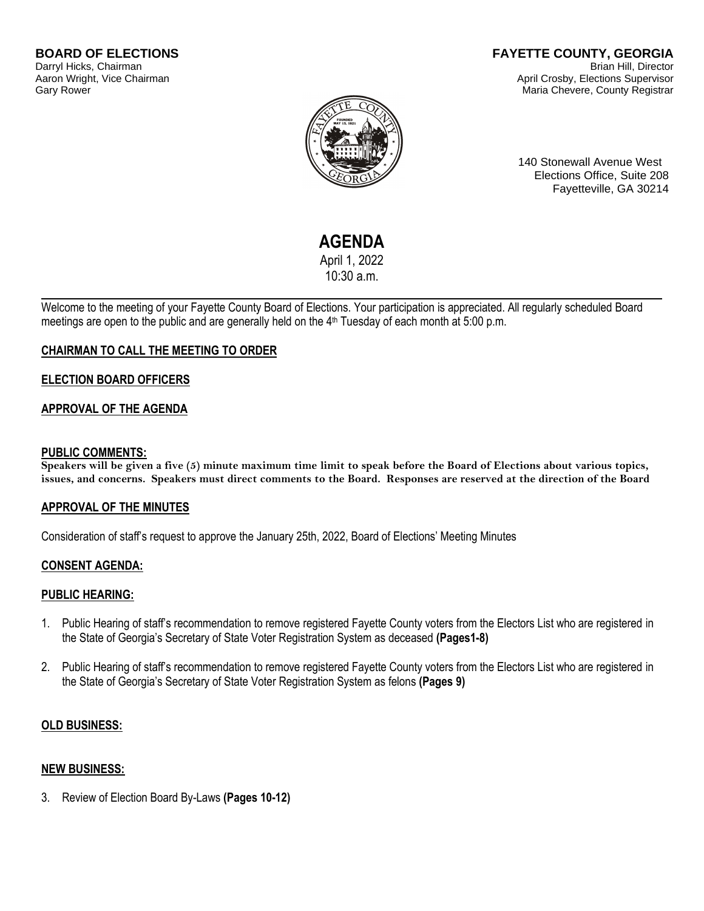#### **FAYETTE COUNTY, GEORGIA** Brian Hill, Director April Crosby, Elections Supervisor Maria Chevere, County Registrar



140 Stonewall Avenue West Elections Office, Suite 208 Fayetteville, GA 30214

# **AGENDA**

April 1, 2022 10:30 a.m.

Welcome to the meeting of your Fayette County Board of Elections. Your participation is appreciated. All regularly scheduled Board meetings are open to the public and are generally held on the 4<sup>th</sup> Tuesday of each month at 5:00 p.m.

# **CHAIRMAN TO CALL THE MEETING TO ORDER**

## **ELECTION BOARD OFFICERS**

## **APPROVAL OF THE AGENDA**

#### **PUBLIC COMMENTS:**

**Speakers will be given a five (5) minute maximum time limit to speak before the Board of Elections about various topics, issues, and concerns. Speakers must direct comments to the Board. Responses are reserved at the direction of the Board**

## **APPROVAL OF THE MINUTES**

Consideration of staff's request to approve the January 25th, 2022, Board of Elections' Meeting Minutes

## **CONSENT AGENDA:**

## **PUBLIC HEARING:**

- 1. Public Hearing of staff's recommendation to remove registered Fayette County voters from the Electors List who are registered in the State of Georgia's Secretary of State Voter Registration System as deceased **(Pages1-8)**
- 2. Public Hearing of staff's recommendation to remove registered Fayette County voters from the Electors List who are registered in the State of Georgia's Secretary of State Voter Registration System as felons **(Pages 9)**

## **OLD BUSINESS:**

## **NEW BUSINESS:**

3. Review of Election Board By-Laws **(Pages 10-12)**